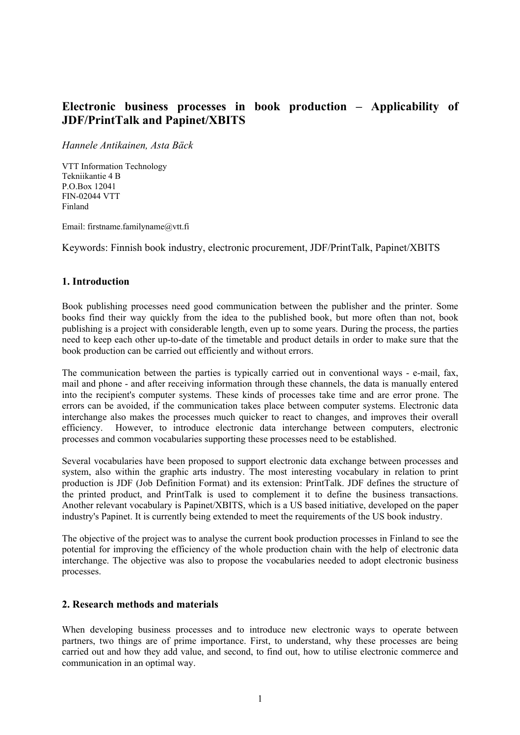# **Electronic business processes in book production – Applicability of JDF/PrintTalk and Papinet/XBITS**

*Hannele Antikainen, Asta Bäck*

VTT Information Technology Tekniikantie 4 B P.O.Box 12041 FIN-02044 VTT Finland

Email: firstname.familyname@vtt.fi

Keywords: Finnish book industry, electronic procurement, JDF/PrintTalk, Papinet/XBITS

### **1. Introduction**

Book publishing processes need good communication between the publisher and the printer. Some books find their way quickly from the idea to the published book, but more often than not, book publishing is a project with considerable length, even up to some years. During the process, the parties need to keep each other up-to-date of the timetable and product details in order to make sure that the book production can be carried out efficiently and without errors.

The communication between the parties is typically carried out in conventional ways - e-mail, fax, mail and phone - and after receiving information through these channels, the data is manually entered into the recipient's computer systems. These kinds of processes take time and are error prone. The errors can be avoided, if the communication takes place between computer systems. Electronic data interchange also makes the processes much quicker to react to changes, and improves their overall efficiency. However, to introduce electronic data interchange between computers, electronic processes and common vocabularies supporting these processes need to be established.

Several vocabularies have been proposed to support electronic data exchange between processes and system, also within the graphic arts industry. The most interesting vocabulary in relation to print production is JDF (Job Definition Format) and its extension: PrintTalk. JDF defines the structure of the printed product, and PrintTalk is used to complement it to define the business transactions. Another relevant vocabulary is Papinet/XBITS, which is a US based initiative, developed on the paper industry's Papinet. It is currently being extended to meet the requirements of the US book industry.

The objective of the project was to analyse the current book production processes in Finland to see the potential for improving the efficiency of the whole production chain with the help of electronic data interchange. The objective was also to propose the vocabularies needed to adopt electronic business processes.

#### **2. Research methods and materials**

When developing business processes and to introduce new electronic ways to operate between partners, two things are of prime importance. First, to understand, why these processes are being carried out and how they add value, and second, to find out, how to utilise electronic commerce and communication in an optimal way.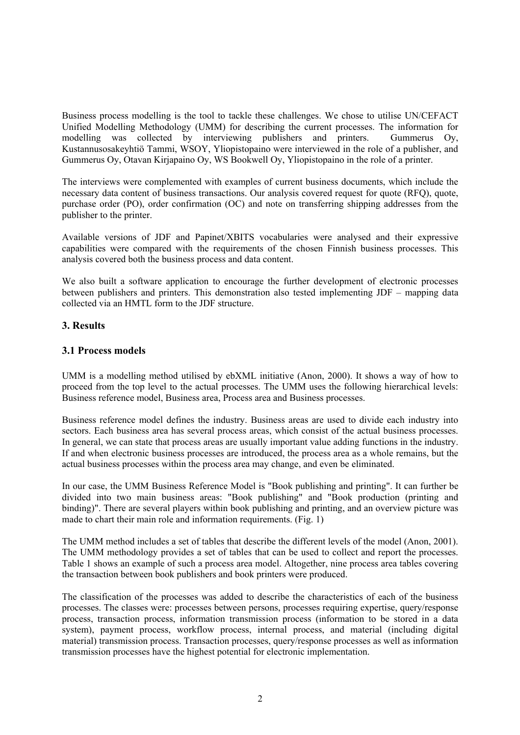Business process modelling is the tool to tackle these challenges. We chose to utilise UN/CEFACT Unified Modelling Methodology (UMM) for describing the current processes. The information for modelling was collected by interviewing publishers and printers. Gummerus Oy, Kustannusosakeyhtiö Tammi, WSOY, Yliopistopaino were interviewed in the role of a publisher, and Gummerus Oy, Otavan Kirjapaino Oy, WS Bookwell Oy, Yliopistopaino in the role of a printer.

The interviews were complemented with examples of current business documents, which include the necessary data content of business transactions. Our analysis covered request for quote (RFQ), quote, purchase order (PO), order confirmation (OC) and note on transferring shipping addresses from the publisher to the printer.

Available versions of JDF and Papinet/XBITS vocabularies were analysed and their expressive capabilities were compared with the requirements of the chosen Finnish business processes. This analysis covered both the business process and data content.

We also built a software application to encourage the further development of electronic processes between publishers and printers. This demonstration also tested implementing JDF – mapping data collected via an HMTL form to the JDF structure.

# **3. Results**

# **3.1 Process models**

UMM is a modelling method utilised by ebXML initiative (Anon, 2000). It shows a way of how to proceed from the top level to the actual processes. The UMM uses the following hierarchical levels: Business reference model, Business area, Process area and Business processes.

Business reference model defines the industry. Business areas are used to divide each industry into sectors. Each business area has several process areas, which consist of the actual business processes. In general, we can state that process areas are usually important value adding functions in the industry. If and when electronic business processes are introduced, the process area as a whole remains, but the actual business processes within the process area may change, and even be eliminated.

In our case, the UMM Business Reference Model is "Book publishing and printing". It can further be divided into two main business areas: "Book publishing" and "Book production (printing and binding)". There are several players within book publishing and printing, and an overview picture was made to chart their main role and information requirements. (Fig. 1)

The UMM method includes a set of tables that describe the different levels of the model (Anon, 2001). The UMM methodology provides a set of tables that can be used to collect and report the processes. Table 1 shows an example of such a process area model. Altogether, nine process area tables covering the transaction between book publishers and book printers were produced.

The classification of the processes was added to describe the characteristics of each of the business processes. The classes were: processes between persons, processes requiring expertise, query/response process, transaction process, information transmission process (information to be stored in a data system), payment process, workflow process, internal process, and material (including digital material) transmission process. Transaction processes, query/response processes as well as information transmission processes have the highest potential for electronic implementation.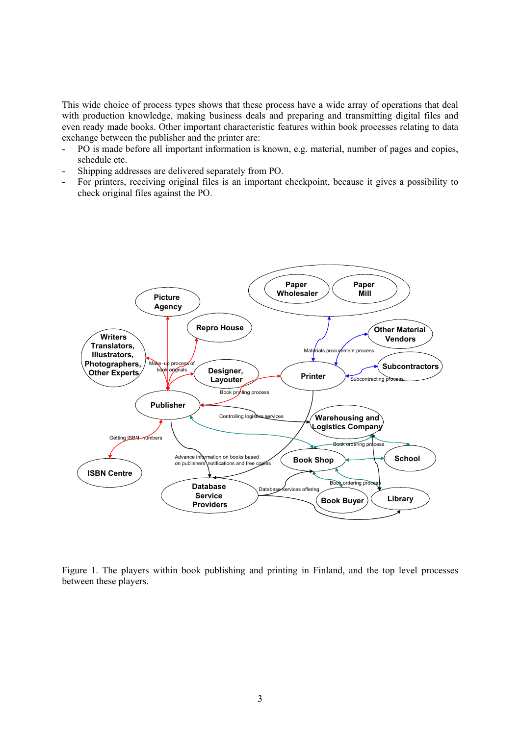This wide choice of process types shows that these process have a wide array of operations that deal with production knowledge, making business deals and preparing and transmitting digital files and even ready made books. Other important characteristic features within book processes relating to data exchange between the publisher and the printer are:

- PO is made before all important information is known, e.g. material, number of pages and copies, schedule etc.
- Shipping addresses are delivered separately from PO.
- For printers, receiving original files is an important checkpoint, because it gives a possibility to check original files against the PO.



Figure 1. The players within book publishing and printing in Finland, and the top level processes between these players.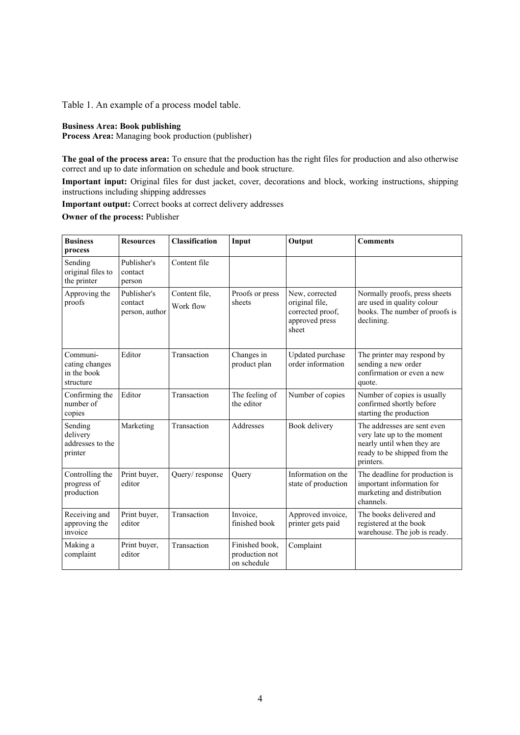Table 1. An example of a process model table.

#### **Business Area: Book publishing**

**Process Area:** Managing book production (publisher)

**The goal of the process area:** To ensure that the production has the right files for production and also otherwise correct and up to date information on schedule and book structure.

**Important input:** Original files for dust jacket, cover, decorations and block, working instructions, shipping instructions including shipping addresses

**Important output:** Correct books at correct delivery addresses

**Owner of the process:** Publisher

| <b>Business</b><br>process                             | <b>Resources</b>                         | <b>Classification</b>      | Input                                           | Output                                                                          | <b>Comments</b>                                                                                                                      |
|--------------------------------------------------------|------------------------------------------|----------------------------|-------------------------------------------------|---------------------------------------------------------------------------------|--------------------------------------------------------------------------------------------------------------------------------------|
| Sending<br>original files to<br>the printer            | Publisher's<br>contact<br>person         | Content file               |                                                 |                                                                                 |                                                                                                                                      |
| Approving the<br>proofs                                | Publisher's<br>contact<br>person, author | Content file,<br>Work flow | Proofs or press<br>sheets                       | New, corrected<br>original file,<br>corrected proof,<br>approved press<br>sheet | Normally proofs, press sheets<br>are used in quality colour<br>books. The number of proofs is<br>declining.                          |
| Communi-<br>cating changes<br>in the book<br>structure | Editor                                   | Transaction                | Changes in<br>product plan                      | Updated purchase<br>order information                                           | The printer may respond by<br>sending a new order<br>confirmation or even a new<br>quote.                                            |
| Confirming the<br>number of<br>copies                  | Editor                                   | Transaction                | The feeling of<br>the editor                    | Number of copies                                                                | Number of copies is usually<br>confirmed shortly before<br>starting the production                                                   |
| Sending<br>delivery<br>addresses to the<br>printer     | Marketing                                | Transaction                | Addresses                                       | Book delivery                                                                   | The addresses are sent even<br>very late up to the moment<br>nearly until when they are<br>ready to be shipped from the<br>printers. |
| Controlling the<br>progress of<br>production           | Print buyer,<br>editor                   | Query/response             | Query                                           | Information on the<br>state of production                                       | The deadline for production is<br>important information for<br>marketing and distribution<br>channels.                               |
| Receiving and<br>approving the<br>invoice              | Print buyer,<br>editor                   | Transaction                | Invoice.<br>finished book                       | Approved invoice,<br>printer gets paid                                          | The books delivered and<br>registered at the book<br>warehouse. The job is ready.                                                    |
| Making a<br>complaint                                  | Print buyer,<br>editor                   | Transaction                | Finished book,<br>production not<br>on schedule | Complaint                                                                       |                                                                                                                                      |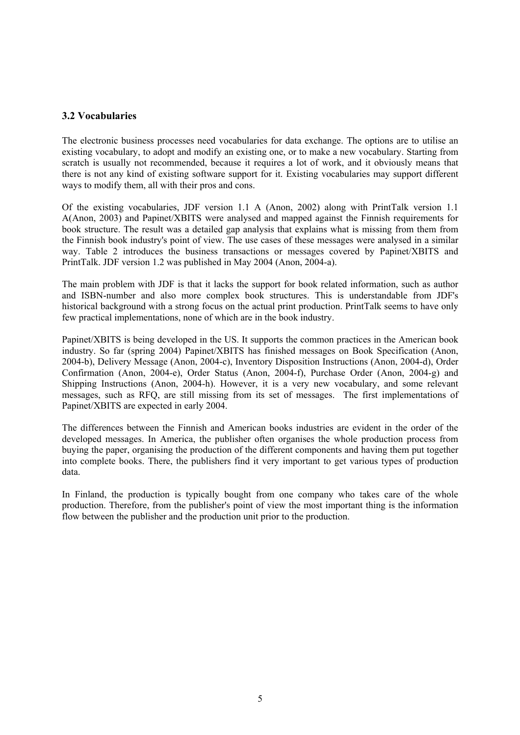## **3.2 Vocabularies**

The electronic business processes need vocabularies for data exchange. The options are to utilise an existing vocabulary, to adopt and modify an existing one, or to make a new vocabulary. Starting from scratch is usually not recommended, because it requires a lot of work, and it obviously means that there is not any kind of existing software support for it. Existing vocabularies may support different ways to modify them, all with their pros and cons.

Of the existing vocabularies, JDF version 1.1 A (Anon, 2002) along with PrintTalk version 1.1 A(Anon, 2003) and Papinet/XBITS were analysed and mapped against the Finnish requirements for book structure. The result was a detailed gap analysis that explains what is missing from them from the Finnish book industry's point of view. The use cases of these messages were analysed in a similar way. Table 2 introduces the business transactions or messages covered by Papinet/XBITS and PrintTalk. JDF version 1.2 was published in May 2004 (Anon, 2004-a).

The main problem with JDF is that it lacks the support for book related information, such as author and ISBN-number and also more complex book structures. This is understandable from JDF's historical background with a strong focus on the actual print production. PrintTalk seems to have only few practical implementations, none of which are in the book industry.

Papinet/XBITS is being developed in the US. It supports the common practices in the American book industry. So far (spring 2004) Papinet/XBITS has finished messages on Book Specification (Anon, 2004-b), Delivery Message (Anon, 2004-c), Inventory Disposition Instructions (Anon, 2004-d), Order Confirmation (Anon, 2004-e), Order Status (Anon, 2004-f), Purchase Order (Anon, 2004-g) and Shipping Instructions (Anon, 2004-h). However, it is a very new vocabulary, and some relevant messages, such as RFQ, are still missing from its set of messages. The first implementations of Papinet/XBITS are expected in early 2004.

The differences between the Finnish and American books industries are evident in the order of the developed messages. In America, the publisher often organises the whole production process from buying the paper, organising the production of the different components and having them put together into complete books. There, the publishers find it very important to get various types of production data.

In Finland, the production is typically bought from one company who takes care of the whole production. Therefore, from the publisher's point of view the most important thing is the information flow between the publisher and the production unit prior to the production.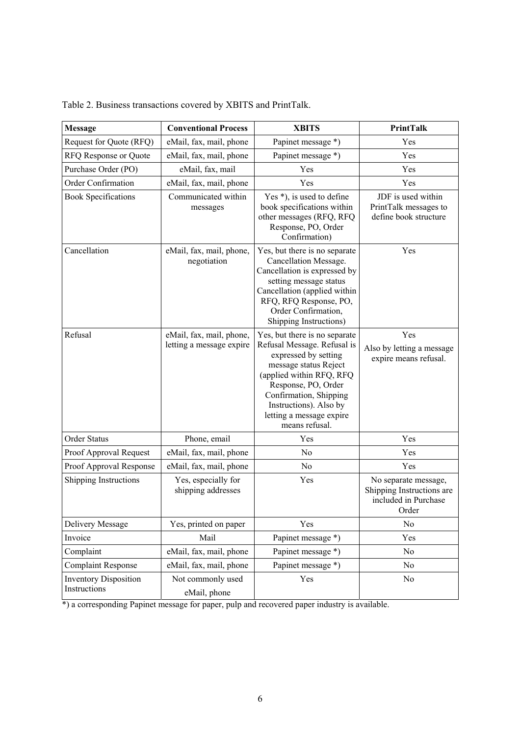| <b>Message</b>                               | <b>Conventional Process</b>                          | <b>XBITS</b>                                                                                                                                                                                                                                                       | <b>PrintTalk</b>                                                                   |  |
|----------------------------------------------|------------------------------------------------------|--------------------------------------------------------------------------------------------------------------------------------------------------------------------------------------------------------------------------------------------------------------------|------------------------------------------------------------------------------------|--|
| Request for Quote (RFQ)                      | eMail, fax, mail, phone                              | Papinet message *)                                                                                                                                                                                                                                                 | Yes                                                                                |  |
| RFQ Response or Quote                        | eMail, fax, mail, phone                              | Papinet message *)                                                                                                                                                                                                                                                 | Yes                                                                                |  |
| Purchase Order (PO)                          | eMail, fax, mail                                     | Yes                                                                                                                                                                                                                                                                | Yes                                                                                |  |
| Order Confirmation                           | eMail, fax, mail, phone                              | Yes                                                                                                                                                                                                                                                                | Yes                                                                                |  |
| <b>Book Specifications</b>                   | Communicated within<br>messages                      | Yes *), is used to define<br>book specifications within<br>other messages (RFQ, RFQ<br>Response, PO, Order<br>Confirmation)                                                                                                                                        | JDF is used within<br>PrintTalk messages to<br>define book structure               |  |
| Cancellation                                 | eMail, fax, mail, phone,<br>negotiation              | Yes, but there is no separate<br>Cancellation Message.<br>Cancellation is expressed by<br>setting message status<br>Cancellation (applied within<br>RFQ, RFQ Response, PO,<br>Order Confirmation,<br>Shipping Instructions)                                        | Yes                                                                                |  |
| Refusal                                      | eMail, fax, mail, phone,<br>letting a message expire | Yes, but there is no separate<br>Refusal Message. Refusal is<br>expressed by setting<br>message status Reject<br>(applied within RFQ, RFQ<br>Response, PO, Order<br>Confirmation, Shipping<br>Instructions). Also by<br>letting a message expire<br>means refusal. | Yes<br>Also by letting a message<br>expire means refusal.                          |  |
| Order Status                                 | Phone, email                                         | Yes                                                                                                                                                                                                                                                                | Yes                                                                                |  |
| Proof Approval Request                       | eMail, fax, mail, phone                              | N <sub>o</sub>                                                                                                                                                                                                                                                     | Yes                                                                                |  |
| Proof Approval Response                      | eMail, fax, mail, phone                              | N <sub>o</sub>                                                                                                                                                                                                                                                     | Yes                                                                                |  |
| Shipping Instructions                        | Yes, especially for<br>shipping addresses            | Yes                                                                                                                                                                                                                                                                | No separate message,<br>Shipping Instructions are<br>included in Purchase<br>Order |  |
| Delivery Message                             | Yes, printed on paper                                | Yes                                                                                                                                                                                                                                                                | No                                                                                 |  |
| Invoice                                      | Mail                                                 | Papinet message *)                                                                                                                                                                                                                                                 | Yes                                                                                |  |
| Complaint                                    | eMail, fax, mail, phone                              | Papinet message *)                                                                                                                                                                                                                                                 | No                                                                                 |  |
| <b>Complaint Response</b>                    | eMail, fax, mail, phone                              | Papinet message *)                                                                                                                                                                                                                                                 | No                                                                                 |  |
| <b>Inventory Disposition</b><br>Instructions | Not commonly used<br>eMail, phone                    | Yes                                                                                                                                                                                                                                                                | No                                                                                 |  |

|  |  | Table 2. Business transactions covered by XBITS and PrintTalk. |  |
|--|--|----------------------------------------------------------------|--|
|  |  |                                                                |  |

\*) a corresponding Papinet message for paper, pulp and recovered paper industry is available.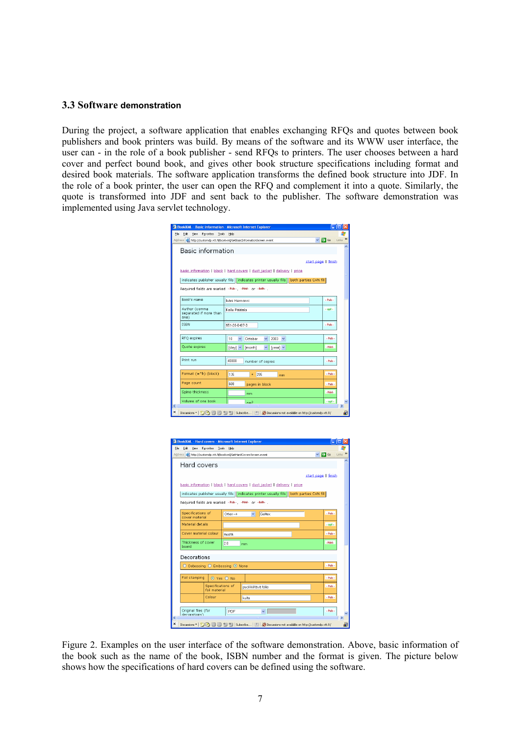#### **3.3 Software demonstration**

During the project, a software application that enables exchanging RFQs and quotes between book publishers and book printers was build. By means of the software and its WWW user interface, the user can - in the role of a book publisher - send RFQs to printers. The user chooses between a hard cover and perfect bound book, and gives other book structure specifications including format and desired book materials. The software application transforms the defined book structure into JDF. In the role of a book printer, the user can open the RFQ and complement it into a quote. Similarly, the quote is transformed into JDF and sent back to the publisher. The software demonstration was implemented using Java servlet technology.

|                                            | BookXML - Basic information - Microsoft Internet Explorer                                      |                         |          |
|--------------------------------------------|------------------------------------------------------------------------------------------------|-------------------------|----------|
| Tools<br>Edit<br>View<br>Favorites<br>File | Help                                                                                           |                         |          |
|                                            | Address (a) http://customdp.vtt.fi/bookxml/GetBasicInformationScreen.event                     | $\vee$ $\Rightarrow$ Go | Links >> |
| Basic information                          |                                                                                                |                         |          |
|                                            |                                                                                                |                         |          |
|                                            | start page   finish                                                                            |                         |          |
|                                            | basic information   block   hard covers   dust jacket   delivery   price                       |                         |          |
|                                            | indicates publisher usually fills   indicates printer usually fills   both parties CAN fill    |                         |          |
|                                            | Required fields are marked - Pub-, -Print- or -Both-                                           |                         |          |
|                                            |                                                                                                |                         |          |
| Book's name                                | Isäni Hermanni                                                                                 | $-$ Pub $-$             |          |
| Author (comma                              | Kalle Päätain                                                                                  | $-$ opt $-$             |          |
| separated if more than<br>one)             |                                                                                                |                         |          |
| <b>ISBN</b>                                | 951-20-6407-3                                                                                  | $-$ Pub $-$             |          |
|                                            |                                                                                                |                         |          |
| RFQ expires                                | 2003<br>10<br>October<br>$\checkmark$<br>$\checkmark$<br>$\checkmark$                          | $-$ Pub $-$             |          |
| Quote expires                              | [day] v<br>[month]<br>[year] v<br>v                                                            | $-Print-$               |          |
|                                            |                                                                                                |                         |          |
| Print run                                  | 40000<br>number of copies                                                                      | $-$ Pub $-$             |          |
|                                            |                                                                                                |                         |          |
| Format (w*h) (block)                       | 135<br>205<br>×.<br>mm                                                                         | $-$ Pub $-$             |          |
| Page count                                 | <b>BOB</b><br>pages in block                                                                   | $-$ Pub $-$             |          |
| Spine thickness                            | mm                                                                                             | -Print-                 |          |
| Volume of one book                         |                                                                                                |                         |          |
|                                            | cm <sup>3</sup><br>m                                                                           | $-$ opt -               | $\,$     |
|                                            | Discussions *   約 國 國 知 知 Subscribe   国 Ø Discussions not available on http://customdp.vtt.fi/ |                         |          |

| BookXML - Hard covers - Microsoft Internet Explorer                           |                                                                                             |                         |                    |  |  |  |  |
|-------------------------------------------------------------------------------|---------------------------------------------------------------------------------------------|-------------------------|--------------------|--|--|--|--|
| Edit<br>File<br>View Favorites<br>Tools                                       | Help                                                                                        |                         |                    |  |  |  |  |
| Address <b>&amp;</b> http://customdp.vtt.fi/bookxml/GetHardCoversScreen.event |                                                                                             | $\vee$ $\Rightarrow$ Go | Links >>           |  |  |  |  |
| Hard covers                                                                   |                                                                                             |                         |                    |  |  |  |  |
|                                                                               |                                                                                             |                         |                    |  |  |  |  |
|                                                                               | start page   finish                                                                         |                         |                    |  |  |  |  |
|                                                                               | basic information   block   hard covers   dust jacket   delivery   price                    |                         |                    |  |  |  |  |
|                                                                               | indicates publisher usually fills   indicates printer usually fills   both parties CAN fill |                         |                    |  |  |  |  |
|                                                                               | Required fields are marked - Pub - - Print- or - Both-                                      |                         |                    |  |  |  |  |
| Specifications of                                                             |                                                                                             | $-$ Pub $-$             |                    |  |  |  |  |
| cover material                                                                | Geltex<br>Other $\rightarrow$<br>$\checkmark$                                               |                         |                    |  |  |  |  |
| Material details                                                              |                                                                                             | $-$ opt -               |                    |  |  |  |  |
| Cover material colour.                                                        | musta                                                                                       | $-$ Pub $-$             |                    |  |  |  |  |
| Thickness of cover<br>hnard                                                   | 2.0<br>mm                                                                                   | -Print-                 |                    |  |  |  |  |
| Decorations                                                                   |                                                                                             |                         |                    |  |  |  |  |
|                                                                               | $-$ Pub $-$<br>○ Debossing ○ Embossing ⊙ None                                               |                         |                    |  |  |  |  |
|                                                                               |                                                                                             |                         |                    |  |  |  |  |
| Foil stamping                                                                 | O Yes O No                                                                                  | $-$ Pub $-$             |                    |  |  |  |  |
| Specifications of<br>foil material                                            | puolikiiltävä folio                                                                         | $-$ Pub $-$             |                    |  |  |  |  |
| Colour                                                                        | kulta                                                                                       | $-$ Pub $-$             |                    |  |  |  |  |
|                                                                               |                                                                                             |                         |                    |  |  |  |  |
| Original files (for<br>decorations)                                           | PDF<br>$\checkmark$                                                                         | $ Pub -$                |                    |  |  |  |  |
| ≺<br>×                                                                        | m                                                                                           |                         | $\rightarrow$<br>刪 |  |  |  |  |

Figure 2. Examples on the user interface of the software demonstration. Above, basic information of the book such as the name of the book, ISBN number and the format is given. The picture below shows how the specifications of hard covers can be defined using the software.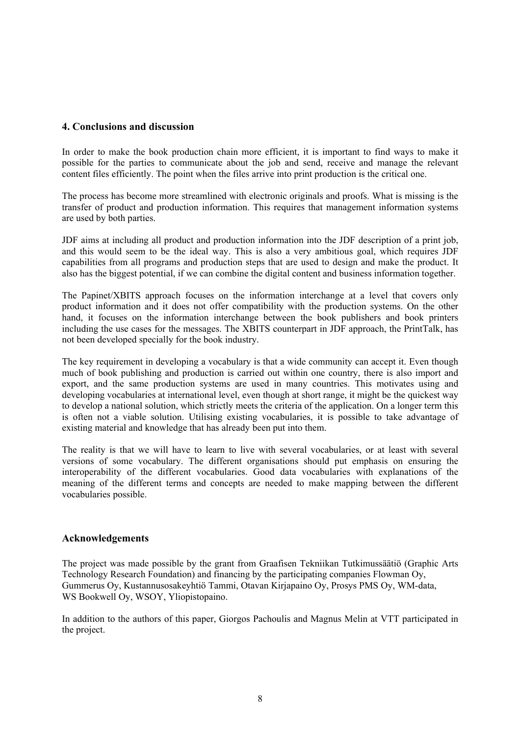### **4. Conclusions and discussion**

In order to make the book production chain more efficient, it is important to find ways to make it possible for the parties to communicate about the job and send, receive and manage the relevant content files efficiently. The point when the files arrive into print production is the critical one.

The process has become more streamlined with electronic originals and proofs. What is missing is the transfer of product and production information. This requires that management information systems are used by both parties.

JDF aims at including all product and production information into the JDF description of a print job, and this would seem to be the ideal way. This is also a very ambitious goal, which requires JDF capabilities from all programs and production steps that are used to design and make the product. It also has the biggest potential, if we can combine the digital content and business information together.

The Papinet/XBITS approach focuses on the information interchange at a level that covers only product information and it does not offer compatibility with the production systems. On the other hand, it focuses on the information interchange between the book publishers and book printers including the use cases for the messages. The XBITS counterpart in JDF approach, the PrintTalk, has not been developed specially for the book industry.

The key requirement in developing a vocabulary is that a wide community can accept it. Even though much of book publishing and production is carried out within one country, there is also import and export, and the same production systems are used in many countries. This motivates using and developing vocabularies at international level, even though at short range, it might be the quickest way to develop a national solution, which strictly meets the criteria of the application. On a longer term this is often not a viable solution. Utilising existing vocabularies, it is possible to take advantage of existing material and knowledge that has already been put into them.

The reality is that we will have to learn to live with several vocabularies, or at least with several versions of some vocabulary. The different organisations should put emphasis on ensuring the interoperability of the different vocabularies. Good data vocabularies with explanations of the meaning of the different terms and concepts are needed to make mapping between the different vocabularies possible.

#### **Acknowledgements**

The project was made possible by the grant from Graafisen Tekniikan Tutkimussäätiö (Graphic Arts Technology Research Foundation) and financing by the participating companies Flowman Oy, Gummerus Oy, Kustannusosakeyhtiö Tammi, Otavan Kirjapaino Oy, Prosys PMS Oy, WM-data, WS Bookwell Oy, WSOY, Yliopistopaino.

In addition to the authors of this paper, Giorgos Pachoulis and Magnus Melin at VTT participated in the project.